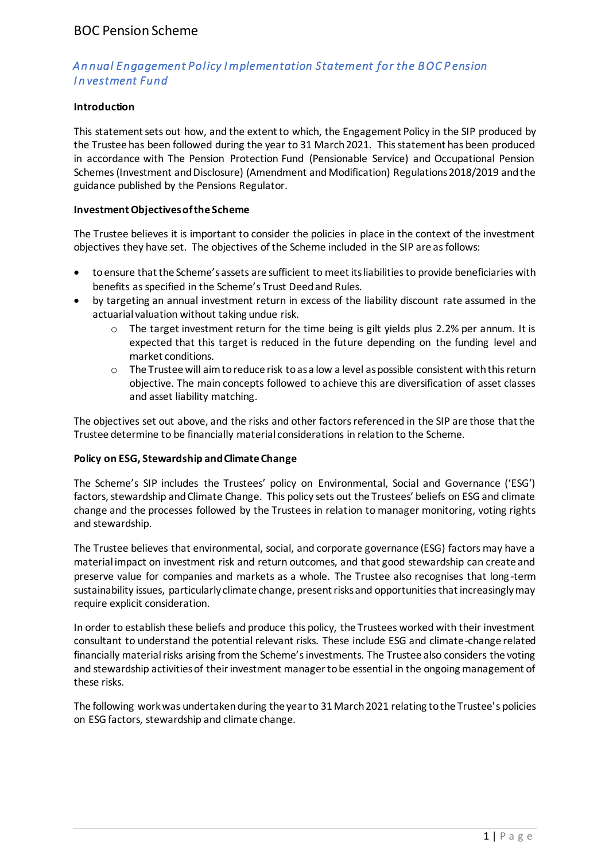## *An nual Engagement Policy I mplementation Statement for the B OC P ension I n vestment Fund*

## **Introduction**

This statement sets out how, and the extent to which, the Engagement Policy in the SIP produced by the Trustee has been followed during the year to 31 March 2021. This statement has been produced in accordance with The Pension Protection Fund (Pensionable Service) and Occupational Pension Schemes (Investment and Disclosure) (Amendment and Modification) Regulations 2018/2019 and the guidance published by the Pensions Regulator.

### **Investment Objectives of the Scheme**

The Trustee believes it is important to consider the policies in place in the context of the investment objectives they have set. The objectives of the Scheme included in the SIP are as follows:

- to ensure that the Scheme's assets are sufficient to meet its liabilities to provide beneficiaries with benefits as specified in the Scheme's Trust Deed and Rules.
- by targeting an annual investment return in excess of the liability discount rate assumed in the actuarial valuation without taking undue risk.
	- o The target investment return for the time being is gilt yields plus 2.2% per annum. It is expected that this target is reduced in the future depending on the funding level and market conditions.
	- o The Trustee will aim to reduce risk to as a low a level as possible consistent with this return objective. The main concepts followed to achieve this are diversification of asset classes and asset liability matching.

The objectives set out above, and the risks and other factors referenced in the SIP are those that the Trustee determine to be financially material considerations in relation to the Scheme.

#### **Policy on ESG, Stewardship and Climate Change**

The Scheme's SIP includes the Trustees' policy on Environmental, Social and Governance ('ESG') factors, stewardship and Climate Change. This policy sets out the Trustees' beliefs on ESG and climate change and the processes followed by the Trustees in relation to manager monitoring, voting rights and stewardship.

The Trustee believes that environmental, social, and corporate governance (ESG) factors may have a material impact on investment risk and return outcomes, and that good stewardship can create and preserve value for companies and markets as a whole. The Trustee also recognises that long -term sustainability issues, particularly climate change, present risks and opportunities that increasingly may require explicit consideration.

In order to establish these beliefs and produce this policy, the Trustees worked with their investment consultant to understand the potential relevant risks. These include ESG and climate-change related financially material risks arising from the Scheme's investments. The Trustee also considers the voting and stewardship activities of their investment manager to be essential in the ongoing management of these risks.

The following work was undertaken during the year to 31 March 2021 relating to the Trustee's policies on ESG factors, stewardship and climate change.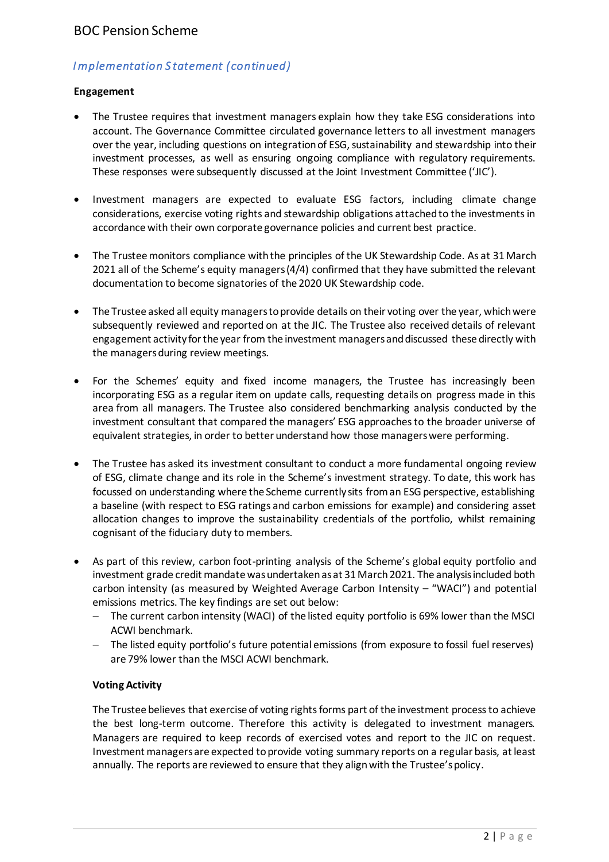# *I mplementation S tatement (continued)*

## **Engagement**

- The Trustee requires that investment managers explain how they take ESG considerations into account. The Governance Committee circulated governance letters to all investment managers over the year, including questions on integration of ESG, sustainability and stewardship into their investment processes, as well as ensuring ongoing compliance with regulatory requirements. These responses were subsequently discussed at the Joint Investment Committee ('JIC').
- Investment managers are expected to evaluate ESG factors, including climate change considerations, exercise voting rights and stewardship obligations attached to the investments in accordance with their own corporate governance policies and current best practice.
- The Trustee monitors compliance with the principles of the UK Stewardship Code. As at 31 March 2021 all of the Scheme's equity managers (4/4) confirmed that they have submitted the relevant documentation to become signatories of the 2020 UK Stewardship code.
- The Trustee asked all equity managers to provide details on their voting over the year, which were subsequently reviewed and reported on at the JIC. The Trustee also received details of relevant engagement activity for the year from the investment managers and discussed these directly with the managers during review meetings.
- For the Schemes' equity and fixed income managers, the Trustee has increasingly been incorporating ESG as a regular item on update calls, requesting details on progress made in this area from all managers. The Trustee also considered benchmarking analysis conducted by the investment consultant that compared the managers' ESG approaches to the broader universe of equivalent strategies, in order to better understand how those managers were performing.
- The Trustee has asked its investment consultant to conduct a more fundamental ongoing review of ESG, climate change and its role in the Scheme's investment strategy. To date, this work has focussed on understanding where the Scheme currently sits from an ESG perspective, establishing a baseline (with respect to ESG ratings and carbon emissions for example) and considering asset allocation changes to improve the sustainability credentials of the portfolio, whilst remaining cognisant of the fiduciary duty to members.
- As part of this review, carbon foot-printing analysis of the Scheme's global equity portfolio and investment grade credit mandate was undertaken as at 31 March 2021. The analysis included both carbon intensity (as measured by Weighted Average Carbon Intensity – "WACI") and potential emissions metrics. The key findings are set out below:
	- The current carbon intensity (WACI) of the listed equity portfolio is 69% lower than the MSCI ACWI benchmark.
	- The listed equity portfolio's future potential emissions (from exposure to fossil fuel reserves) are 79% lower than the MSCI ACWI benchmark.

## **Voting Activity**

The Trustee believes that exercise of voting rights forms part of the investment process to achieve the best long-term outcome. Therefore this activity is delegated to investment managers. Managers are required to keep records of exercised votes and report to the JIC on request. Investment managers are expected to provide voting summary reports on a regular basis, at least annually. The reports are reviewed to ensure that they align with the Trustee's policy.